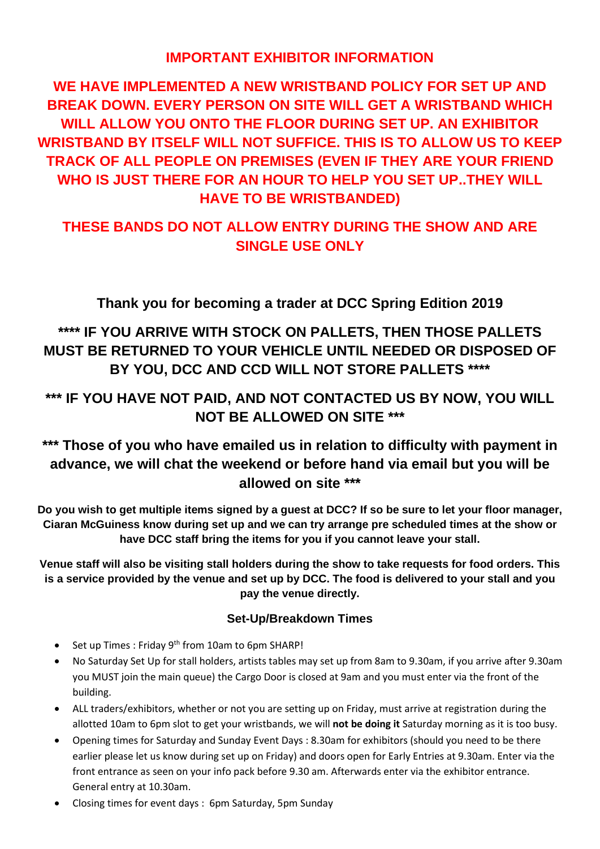## **IMPORTANT EXHIBITOR INFORMATION**

**WE HAVE IMPLEMENTED A NEW WRISTBAND POLICY FOR SET UP AND BREAK DOWN. EVERY PERSON ON SITE WILL GET A WRISTBAND WHICH WILL ALLOW YOU ONTO THE FLOOR DURING SET UP. AN EXHIBITOR WRISTBAND BY ITSELF WILL NOT SUFFICE. THIS IS TO ALLOW US TO KEEP TRACK OF ALL PEOPLE ON PREMISES (EVEN IF THEY ARE YOUR FRIEND WHO IS JUST THERE FOR AN HOUR TO HELP YOU SET UP..THEY WILL HAVE TO BE WRISTBANDED)**

# **THESE BANDS DO NOT ALLOW ENTRY DURING THE SHOW AND ARE SINGLE USE ONLY**

**Thank you for becoming a trader at DCC Spring Edition 2019**

# **\*\*\*\* IF YOU ARRIVE WITH STOCK ON PALLETS, THEN THOSE PALLETS MUST BE RETURNED TO YOUR VEHICLE UNTIL NEEDED OR DISPOSED OF BY YOU, DCC AND CCD WILL NOT STORE PALLETS \*\*\*\***

# **\*\*\* IF YOU HAVE NOT PAID, AND NOT CONTACTED US BY NOW, YOU WILL NOT BE ALLOWED ON SITE \*\*\***

# **\*\*\* Those of you who have emailed us in relation to difficulty with payment in advance, we will chat the weekend or before hand via email but you will be allowed on site \*\*\***

**Do you wish to get multiple items signed by a guest at DCC? If so be sure to let your floor manager, Ciaran McGuiness know during set up and we can try arrange pre scheduled times at the show or have DCC staff bring the items for you if you cannot leave your stall.**

**Venue staff will also be visiting stall holders during the show to take requests for food orders. This is a service provided by the venue and set up by DCC. The food is delivered to your stall and you pay the venue directly.**

### **Set-Up/Breakdown Times**

- Set up Times : Friday 9<sup>th</sup> from 10am to 6pm SHARP!
- No Saturday Set Up for stall holders, artists tables may set up from 8am to 9.30am, if you arrive after 9.30am you MUST join the main queue) the Cargo Door is closed at 9am and you must enter via the front of the building.
- ALL traders/exhibitors, whether or not you are setting up on Friday, must arrive at registration during the allotted 10am to 6pm slot to get your wristbands, we will **not be doing it** Saturday morning as it is too busy.
- Opening times for Saturday and Sunday Event Days : 8.30am for exhibitors (should you need to be there earlier please let us know during set up on Friday) and doors open for Early Entries at 9.30am. Enter via the front entrance as seen on your info pack before 9.30 am. Afterwards enter via the exhibitor entrance. General entry at 10.30am.
- Closing times for event days : 6pm Saturday, 5pm Sunday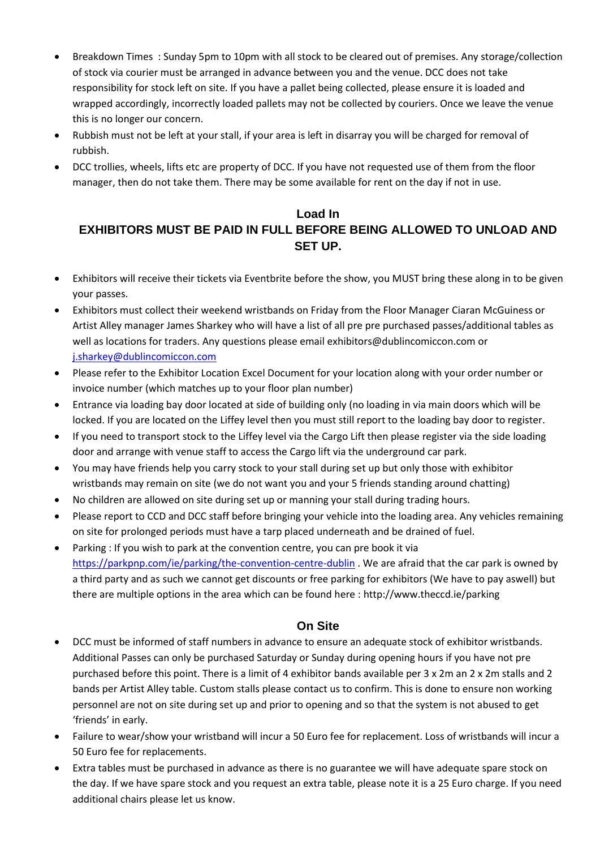- Breakdown Times : Sunday 5pm to 10pm with all stock to be cleared out of premises. Any storage/collection of stock via courier must be arranged in advance between you and the venue. DCC does not take responsibility for stock left on site. If you have a pallet being collected, please ensure it is loaded and wrapped accordingly, incorrectly loaded pallets may not be collected by couriers. Once we leave the venue this is no longer our concern.
- Rubbish must not be left at your stall, if your area is left in disarray you will be charged for removal of rubbish.
- DCC trollies, wheels, lifts etc are property of DCC. If you have not requested use of them from the floor manager, then do not take them. There may be some available for rent on the day if not in use.

### **Load In EXHIBITORS MUST BE PAID IN FULL BEFORE BEING ALLOWED TO UNLOAD AND SET UP.**

- Exhibitors will receive their tickets via Eventbrite before the show, you MUST bring these along in to be given your passes.
- Exhibitors must collect their weekend wristbands on Friday from the Floor Manager Ciaran McGuiness or Artist Alley manager James Sharkey who will have a list of all pre pre purchased passes/additional tables as well as locations for traders. Any questions please email exhibitors@dublincomiccon.com or [j.sharkey@dublincomiccon.com](mailto:j.sharkey@dublincomiccon.com)
- Please refer to the Exhibitor Location Excel Document for your location along with your order number or invoice number (which matches up to your floor plan number)
- Entrance via loading bay door located at side of building only (no loading in via main doors which will be locked. If you are located on the Liffey level then you must still report to the loading bay door to register.
- If you need to transport stock to the Liffey level via the Cargo Lift then please register via the side loading door and arrange with venue staff to access the Cargo lift via the underground car park.
- You may have friends help you carry stock to your stall during set up but only those with exhibitor wristbands may remain on site (we do not want you and your 5 friends standing around chatting)
- No children are allowed on site during set up or manning your stall during trading hours.
- Please report to CCD and DCC staff before bringing your vehicle into the loading area. Any vehicles remaining on site for prolonged periods must have a tarp placed underneath and be drained of fuel.
- Parking : If you wish to park at the convention centre, you can pre book it via <https://parkpnp.com/ie/parking/the-convention-centre-dublin> . We are afraid that the car park is owned by a third party and as such we cannot get discounts or free parking for exhibitors (We have to pay aswell) but there are multiple options in the area which can be found here : http://www.theccd.ie/parking

### **On Site**

- DCC must be informed of staff numbers in advance to ensure an adequate stock of exhibitor wristbands. Additional Passes can only be purchased Saturday or Sunday during opening hours if you have not pre purchased before this point. There is a limit of 4 exhibitor bands available per 3 x 2m an 2 x 2m stalls and 2 bands per Artist Alley table. Custom stalls please contact us to confirm. This is done to ensure non working personnel are not on site during set up and prior to opening and so that the system is not abused to get 'friends' in early.
- Failure to wear/show your wristband will incur a 50 Euro fee for replacement. Loss of wristbands will incur a 50 Euro fee for replacements.
- Extra tables must be purchased in advance as there is no guarantee we will have adequate spare stock on the day. If we have spare stock and you request an extra table, please note it is a 25 Euro charge. If you need additional chairs please let us know.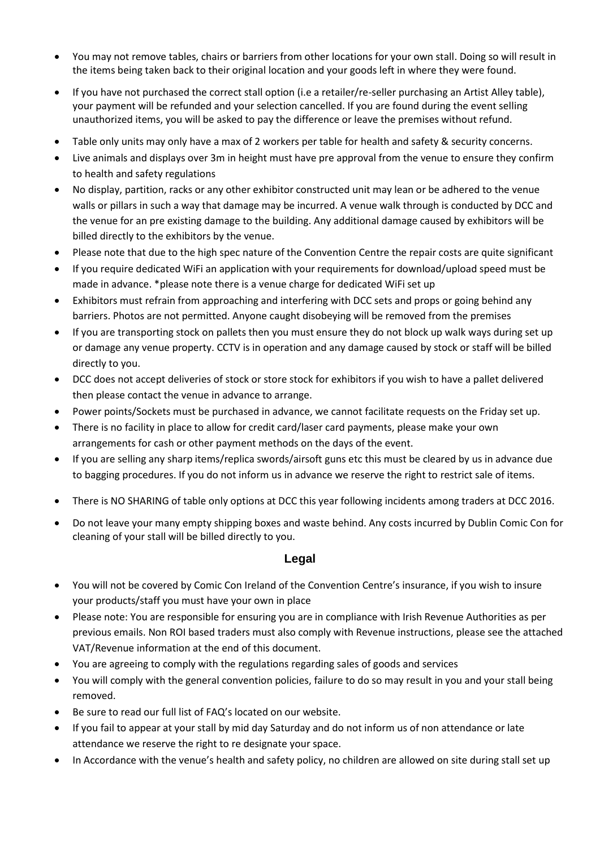- You may not remove tables, chairs or barriers from other locations for your own stall. Doing so will result in the items being taken back to their original location and your goods left in where they were found.
- If you have not purchased the correct stall option (i.e a retailer/re-seller purchasing an Artist Alley table), your payment will be refunded and your selection cancelled. If you are found during the event selling unauthorized items, you will be asked to pay the difference or leave the premises without refund.
- Table only units may only have a max of 2 workers per table for health and safety & security concerns.
- Live animals and displays over 3m in height must have pre approval from the venue to ensure they confirm to health and safety regulations
- No display, partition, racks or any other exhibitor constructed unit may lean or be adhered to the venue walls or pillars in such a way that damage may be incurred. A venue walk through is conducted by DCC and the venue for an pre existing damage to the building. Any additional damage caused by exhibitors will be billed directly to the exhibitors by the venue.
- Please note that due to the high spec nature of the Convention Centre the repair costs are quite significant
- If you require dedicated WiFi an application with your requirements for download/upload speed must be made in advance. \*please note there is a venue charge for dedicated WiFi set up
- Exhibitors must refrain from approaching and interfering with DCC sets and props or going behind any barriers. Photos are not permitted. Anyone caught disobeying will be removed from the premises
- If you are transporting stock on pallets then you must ensure they do not block up walk ways during set up or damage any venue property. CCTV is in operation and any damage caused by stock or staff will be billed directly to you.
- DCC does not accept deliveries of stock or store stock for exhibitors if you wish to have a pallet delivered then please contact the venue in advance to arrange.
- Power points/Sockets must be purchased in advance, we cannot facilitate requests on the Friday set up.
- There is no facility in place to allow for credit card/laser card payments, please make your own arrangements for cash or other payment methods on the days of the event.
- If you are selling any sharp items/replica swords/airsoft guns etc this must be cleared by us in advance due to bagging procedures. If you do not inform us in advance we reserve the right to restrict sale of items.
- There is NO SHARING of table only options at DCC this year following incidents among traders at DCC 2016.
- Do not leave your many empty shipping boxes and waste behind. Any costs incurred by Dublin Comic Con for cleaning of your stall will be billed directly to you.

### **Legal**

- You will not be covered by Comic Con Ireland of the Convention Centre's insurance, if you wish to insure your products/staff you must have your own in place
- Please note: You are responsible for ensuring you are in compliance with Irish Revenue Authorities as per previous emails. Non ROI based traders must also comply with Revenue instructions, please see the attached VAT/Revenue information at the end of this document.
- You are agreeing to comply with the regulations regarding sales of goods and services
- You will comply with the general convention policies, failure to do so may result in you and your stall being removed.
- Be sure to read our full list of FAQ's located on our website.
- If you fail to appear at your stall by mid day Saturday and do not inform us of non attendance or late attendance we reserve the right to re designate your space.
- In Accordance with the venue's health and safety policy, no children are allowed on site during stall set up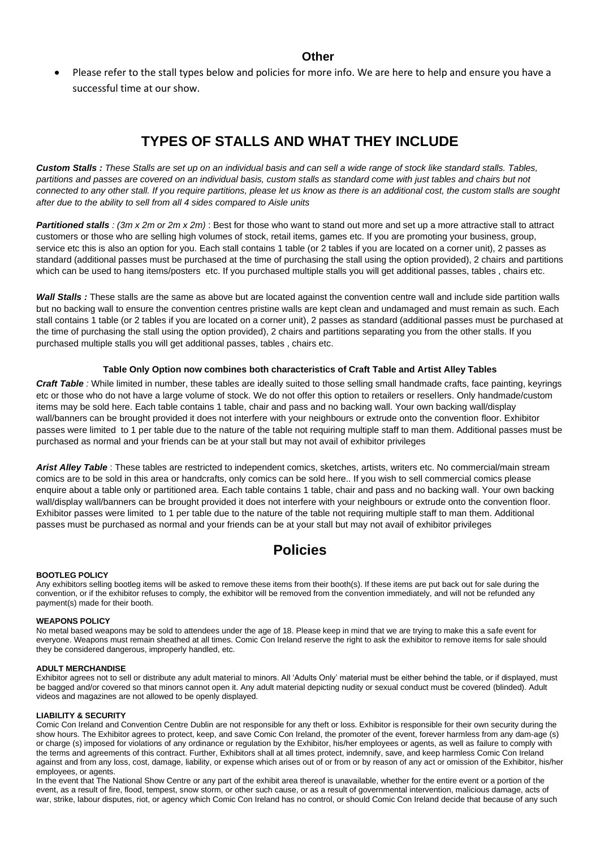• Please refer to the stall types below and policies for more info. We are here to help and ensure you have a successful time at our show.

## **TYPES OF STALLS AND WHAT THEY INCLUDE**

Custom Stalls : These Stalls are set up on an individual basis and can sell a wide range of stock like standard stalls. Tables, partitions and passes are covered on an individual basis, custom stalls as standard come with just tables and chairs but not connected to any other stall. If you require partitions, please let us know as there is an additional cost, the custom stalls are sought *after due to the ability to sell from all 4 sides compared to Aisle units*

*Partitioned stalls : (3m x 2m or 2m x 2m)* : Best for those who want to stand out more and set up a more attractive stall to attract customers or those who are selling high volumes of stock, retail items, games etc. If you are promoting your business, group, service etc this is also an option for you. Each stall contains 1 table (or 2 tables if you are located on a corner unit), 2 passes as standard (additional passes must be purchased at the time of purchasing the stall using the option provided), 2 chairs and partitions which can be used to hang items/posters etc. If you purchased multiple stalls you will get additional passes, tables, chairs etc.

*Wall Stalls :* These stalls are the same as above but are located against the convention centre wall and include side partition walls but no backing wall to ensure the convention centres pristine walls are kept clean and undamaged and must remain as such. Each stall contains 1 table (or 2 tables if you are located on a corner unit), 2 passes as standard (additional passes must be purchased at the time of purchasing the stall using the option provided), 2 chairs and partitions separating you from the other stalls. If you purchased multiple stalls you will get additional passes, tables , chairs etc.

#### **Table Only Option now combines both characteristics of Craft Table and Artist Alley Tables**

*Craft Table :* While limited in number, these tables are ideally suited to those selling small handmade crafts, face painting, keyrings etc or those who do not have a large volume of stock. We do not offer this option to retailers or resellers. Only handmade/custom items may be sold here. Each table contains 1 table, chair and pass and no backing wall. Your own backing wall/display wall/banners can be brought provided it does not interfere with your neighbours or extrude onto the convention floor. Exhibitor passes were limited to 1 per table due to the nature of the table not requiring multiple staff to man them. Additional passes must be purchased as normal and your friends can be at your stall but may not avail of exhibitor privileges

*Arist Alley Table* : These tables are restricted to independent comics, sketches, artists, writers etc. No commercial/main stream comics are to be sold in this area or handcrafts, only comics can be sold here.. If you wish to sell commercial comics please enquire about a table only or partitioned area. Each table contains 1 table, chair and pass and no backing wall. Your own backing wall/display wall/banners can be brought provided it does not interfere with your neighbours or extrude onto the convention floor. Exhibitor passes were limited to 1 per table due to the nature of the table not requiring multiple staff to man them. Additional passes must be purchased as normal and your friends can be at your stall but may not avail of exhibitor privileges

## **Policies**

#### **BOOTLEG POLICY**

Any exhibitors selling bootleg items will be asked to remove these items from their booth(s). If these items are put back out for sale during the convention, or if the exhibitor refuses to comply, the exhibitor will be removed from the convention immediately, and will not be refunded any payment(s) made for their booth.

#### **WEAPONS POLICY**

No metal based weapons may be sold to attendees under the age of 18. Please keep in mind that we are trying to make this a safe event for everyone. Weapons must remain sheathed at all times. Comic Con Ireland reserve the right to ask the exhibitor to remove items for sale should they be considered dangerous, improperly handled, etc.

#### **ADULT MERCHANDISE**

Exhibitor agrees not to sell or distribute any adult material to minors. All 'Adults Only' material must be either behind the table, or if displayed, must be bagged and/or covered so that minors cannot open it. Any adult material depicting nudity or sexual conduct must be covered (blinded). Adult videos and magazines are not allowed to be openly displayed.

#### **LIABILITY & SECURITY**

Comic Con Ireland and Convention Centre Dublin are not responsible for any theft or loss. Exhibitor is responsible for their own security during the show hours. The Exhibitor agrees to protect, keep, and save Comic Con Ireland, the promoter of the event, forever harmless from any dam-age (s) or charge (s) imposed for violations of any ordinance or regulation by the Exhibitor, his/her employees or agents, as well as failure to comply with the terms and agreements of this contract. Further, Exhibitors shall at all times protect, indemnify, save, and keep harmless Comic Con Ireland against and from any loss, cost, damage, liability, or expense which arises out of or from or by reason of any act or omission of the Exhibitor, his/her employees, or agents.

In the event that The National Show Centre or any part of the exhibit area thereof is unavailable, whether for the entire event or a portion of the event, as a result of fire, flood, tempest, snow storm, or other such cause, or as a result of governmental intervention, malicious damage, acts of war, strike, labour disputes, riot, or agency which Comic Con Ireland has no control, or should Comic Con Ireland decide that because of any such